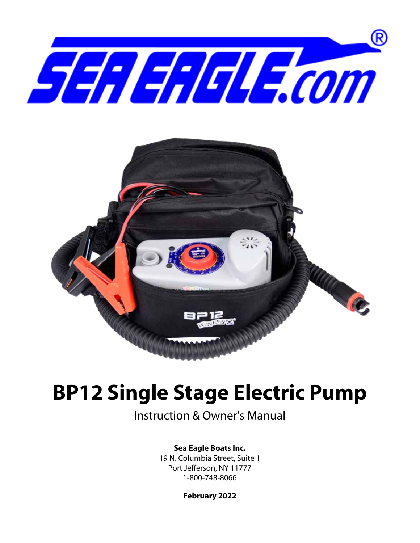



# **BP12 Single Stage Electric Pump**

Instruction & Owner's Manual

## **Sea Eagle Boats Inc.**

19 N. Columbia Street, Suite 1 Port Jefferson, NY 11777 1-800-748-8066

**February 2022**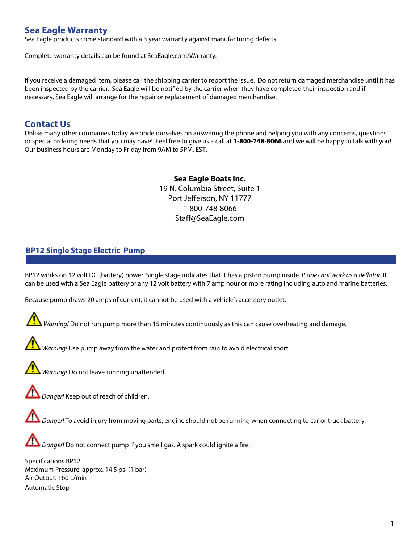# **Sea Eagle Warranty**

Sea Eagle products come standard with a 3 year warranty against manufacturing defects.

Complete warranty details can be found at SeaEagle.com/Warranty.

If you receive a damaged item, please call the shipping carrier to report the issue. Do not return damaged merchandise until it has been inspected by the carrier. Sea Eagle will be notified by the carrier when they have completed their inspection and if necessary, Sea Eagle will arrange for the repair or replacement of damaged merchandise.

## **Contact Us**

Unlike many other companies today we pride ourselves on answering the phone and helping you with any concerns, questions or special ordering needs that you may have! Feel free to give us a call at **1-800-748-8066** and we will be happy to talk with you! Our business hours are Monday to Friday from 9AM to 5PM, EST.

# **Sea Eagle Boats Inc.**

19 N. Columbia Street, Suite 1 Port Jefferson, NY 11777 1-800-748-8066 Staff@SeaEagle.com

## **BP12 Single Stage Electric Pump**

BP12 works on 12 volt DC (battery) power. Single stage indicates that it has a piston pump inside. *It does not work as a deflator.* It can be used with a Sea Eagle battery or any 12 volt battery with 7 amp hour or more rating including auto and marine batteries.

Because pump draws 20 amps of current, it cannot be used with a vehicle's accessory outlet.





*Warning!* Use pump away from the water and protect from rain to avoid electrical short.



*Warning!* Do not leave running unattended.



 *Danger!* Keep out of reach of children.





*Danger!* Do not connect pump if you smell gas. A spark could ignite a fire.

Specifications BP12 Maximum Pressure: approx. 14.5 psi (1 bar) Air Output: 160 L/min Automatic Stop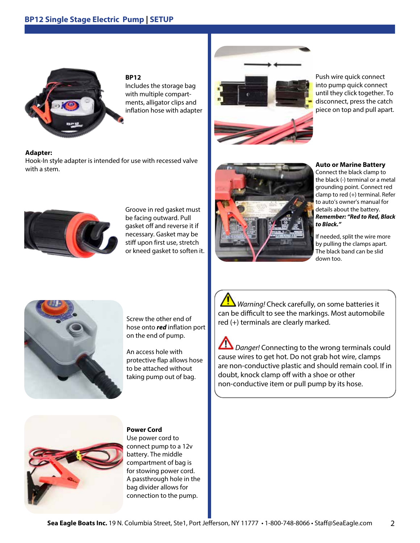## **BP12 Single Stage Electric Pump | SETUP**



**BP12** Includes the storage bag with multiple compartments, alligator clips and inflation hose with adapter

## **Adapter:**

Hook-In style adapter is intended for use with recessed valve with a stem.



Push wire quick connect into pump quick connect until they click together. To disconnect, press the catch piece on top and pull apart.



Groove in red gasket must be facing outward. Pull gasket off and reverse it if necessary. Gasket may be stiff upon first use, stretch or kneed gasket to soften it.



**Auto or Marine Battery**

Connect the black clamp to the black (-) terminal or a metal grounding point. Connect red clamp to red (+) terminal. Refer to auto's owner's manual for details about the battery. *Remember: "Red to Red, Black to Black."*

If needed, split the wire more by pulling the clamps apart. The black band can be slid down too.



Screw the other end of hose onto *red* inflation port on the end of pump.

An access hole with protective flap allows hose to be attached without taking pump out of bag.

*Warning!* Check carefully, on some batteries it can be difficult to see the markings. Most automobile red (+) terminals are clearly marked.

**All** *Danger!* Connecting to the wrong terminals could cause wires to get hot. Do not grab hot wire, clamps are non-conductive plastic and should remain cool. If in doubt, knock clamp off with a shoe or other non-conductive item or pull pump by its hose.



#### **Power Cord**

Use power cord to connect pump to a 12v battery. The middle compartment of bag is for stowing power cord. A passthrough hole in the bag divider allows for connection to the pump.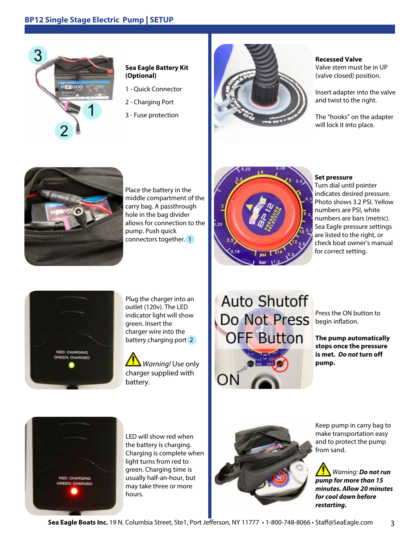## **BP12 Single Stage Electric Pump | SETUP**



## **Sea Eagle Battery Kit (Optional)**

- 1 Quick Connector
- 2 Charging Port
- 3 Fuse protection



#### **Recessed Valve**

Valve stem must be in UP (valve closed) position.

Insert adapter into the valve and twist to the right.

The "hooks" on the adapter will lock it into place.



Place the battery in the middle compartment of the carry bag. A passthrough hole in the bag divider allows for connection to the pump. Push quick connectors together.<sup>1</sup>



### **Set pressure**

Turn dial until pointer indicates desired pressure. Photo shows 3.2 PSI. Yellow numbers are PSI, white numbers are bars (metric). Sea Eagle pressure settings are listed to the right, or check boat owner's manual for correct setting.



Plug the charger into an outlet (120v). The LED indicator light will show green. Insert the charger wire into the battery charging port 2

*Warning!* Use only charger supplied with battery.

**Auto Shutoff** Do Not Press **FF Button** 

Press the ON button to begin inflation.

**The pump automatically stops once the pressure is met.** *Do not* **turn off pump.**



LED will show red when the battery is charging. Charging is complete when light turns from red to green. Charging time is usually half-an-hour, but may take three or more hours.



Keep pump in carry bag to make transportation easy and to protect the pump from sand.

*Warning: Do not run pump for more than 15 minutes. Allow 20 minutes for cool down before restarting.*